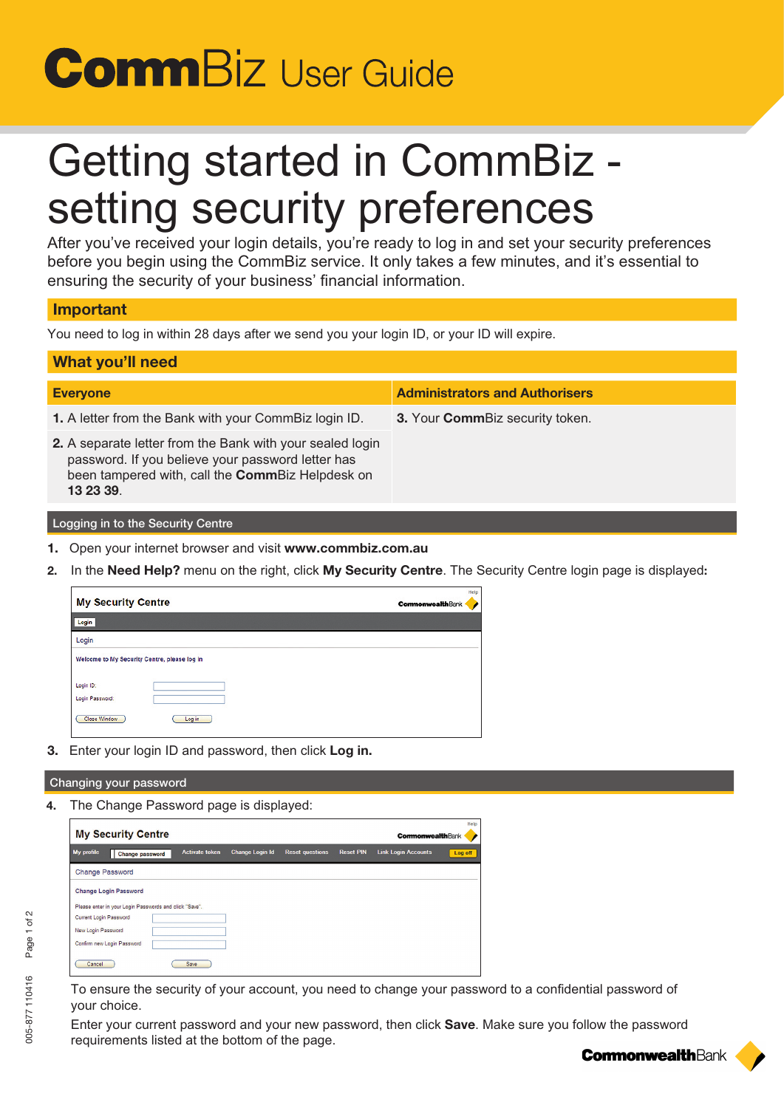# **Comm**Biz User Guide

# *Getting started in CommBiz setting security preferences*

*After you've received your login details, you're ready to log in and set your security preferences before you begin using the CommBiz service. It only takes a few minutes, and it's essential to ensuring the security of your business' financial information.*

## Important

*You need to log in within 28 days after we send you your login ID, or your ID will expire.*

| <b>What you'll need</b>                                                                                                                                                         |                                       |  |  |  |  |  |  |
|---------------------------------------------------------------------------------------------------------------------------------------------------------------------------------|---------------------------------------|--|--|--|--|--|--|
| <b>Everyone</b>                                                                                                                                                                 | <b>Administrators and Authorisers</b> |  |  |  |  |  |  |
| 1. A letter from the Bank with your CommBiz login ID.                                                                                                                           | 3. Your CommBiz security token.       |  |  |  |  |  |  |
| 2. A separate letter from the Bank with your sealed login<br>password. If you believe your password letter has<br>been tampered with, call the CommBiz Helpdesk on<br>13 23 39. |                                       |  |  |  |  |  |  |
| Logging in to the Security Centre                                                                                                                                               |                                       |  |  |  |  |  |  |

- 1. *Open your internet browser and visit* www.commbiz.com.au
- 2. *In the* Need Help? *menu on the right, click* My Security Centre*. The Security Centre login page is displayed*:



3. *Enter your login ID and password, then click* Log in.

### Changing your password

4. *The Change Password page is displayed:*

| <b>My Security Centre</b>                              |  |                       |                        |                        |                  |                            | Hel<br><b>CommonwealthBank</b> |  |
|--------------------------------------------------------|--|-----------------------|------------------------|------------------------|------------------|----------------------------|--------------------------------|--|
| My profile<br><b>Change password</b>                   |  | <b>Activate token</b> | <b>Change Login Id</b> | <b>Reset questions</b> | <b>Reset PIN</b> | <b>Link Login Accounts</b> | Log off                        |  |
| <b>Change Password</b>                                 |  |                       |                        |                        |                  |                            |                                |  |
| <b>Change Login Password</b>                           |  |                       |                        |                        |                  |                            |                                |  |
| Please enter in your Login Passwords and click "Save". |  |                       |                        |                        |                  |                            |                                |  |
| Current Login Password                                 |  |                       |                        |                        |                  |                            |                                |  |
| New Login Password                                     |  |                       |                        |                        |                  |                            |                                |  |
| Confirm new Login Password                             |  |                       |                        |                        |                  |                            |                                |  |
| Cancel                                                 |  | Save                  |                        |                        |                  |                            |                                |  |

*To ensure the security of your account, you need to change your password to a confidential password of your choice.* 

*Enter your current password and your new password, then click* Save*. Make sure you follow the password requirements listed at the bottom of the page.*

**CommonwealthBank**